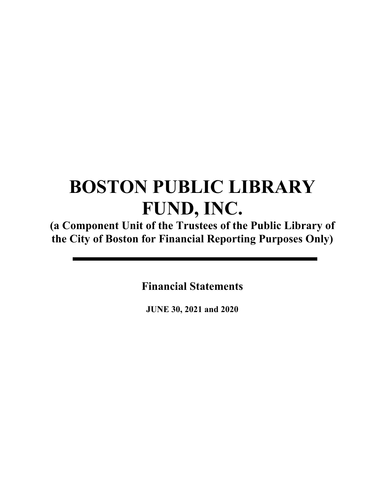**(a Component Unit of the Trustees of the Public Library of the City of Boston for Financial Reporting Purposes Only)** 

**Financial Statements** 

**JUNE 30, 2021 and 2020**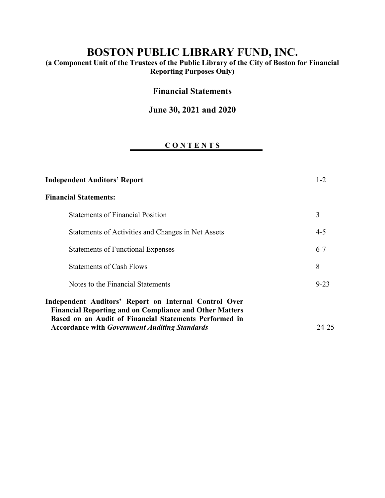**(a Component Unit of the Trustees of the Public Library of the City of Boston for Financial Reporting Purposes Only)** 

# **Financial Statements**

# **June 30, 2021 and 2020**

# **C O N T E N T S**

| <b>Independent Auditors' Report</b>                                                                                                                                               | $1 - 2$  |
|-----------------------------------------------------------------------------------------------------------------------------------------------------------------------------------|----------|
| <b>Financial Statements:</b>                                                                                                                                                      |          |
| <b>Statements of Financial Position</b>                                                                                                                                           | 3        |
| Statements of Activities and Changes in Net Assets                                                                                                                                | $4 - 5$  |
| <b>Statements of Functional Expenses</b>                                                                                                                                          | $6 - 7$  |
| <b>Statements of Cash Flows</b>                                                                                                                                                   | 8        |
| Notes to the Financial Statements                                                                                                                                                 | $9 - 23$ |
| Independent Auditors' Report on Internal Control Over<br><b>Financial Reporting and on Compliance and Other Matters</b><br>Based on an Audit of Financial Statements Performed in |          |
| <b>Accordance with Government Auditing Standards</b>                                                                                                                              | 24-25    |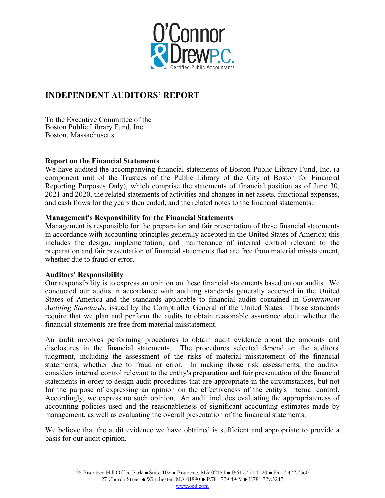

# **INDEPENDENT AUDITORS' REPORT**

To the Executive Committee of the Boston Public Library Fund, Inc. Boston, Massachusetts

#### **Report on the Financial Statements**

We have audited the accompanying financial statements of Boston Public Library Fund, Inc. (a component unit of the Trustees of the Public Library of the City of Boston for Financial Reporting Purposes Only), which comprise the statements of financial position as of June 30, 2021 and 2020, the related statements of activities and changes in net assets, functional expenses, and cash flows for the years then ended, and the related notes to the financial statements.

#### **Management's Responsibility for the Financial Statements**

Management is responsible for the preparation and fair presentation of these financial statements in accordance with accounting principles generally accepted in the United States of America; this includes the design, implementation, and maintenance of internal control relevant to the preparation and fair presentation of financial statements that are free from material misstatement, whether due to fraud or error.

#### **Auditors' Responsibility**

Our responsibility is to express an opinion on these financial statements based on our audits. We conducted our audits in accordance with auditing standards generally accepted in the United States of America and the standards applicable to financial audits contained in *Government Auditing Standards*, issued by the Comptroller General of the United States. Those standards require that we plan and perform the audits to obtain reasonable assurance about whether the financial statements are free from material misstatement.

An audit involves performing procedures to obtain audit evidence about the amounts and disclosures in the financial statements. The procedures selected depend on the auditors' judgment, including the assessment of the risks of material misstatement of the financial statements, whether due to fraud or error. In making those risk assessments, the auditor considers internal control relevant to the entity's preparation and fair presentation of the financial statements in order to design audit procedures that are appropriate in the circumstances, but not for the purpose of expressing an opinion on the effectiveness of the entity's internal control. Accordingly, we express no such opinion. An audit includes evaluating the appropriateness of accounting policies used and the reasonableness of significant accounting estimates made by management, as well as evaluating the overall presentation of the financial statements.

We believe that the audit evidence we have obtained is sufficient and appropriate to provide a basis for our audit opinion.

www.ocd.com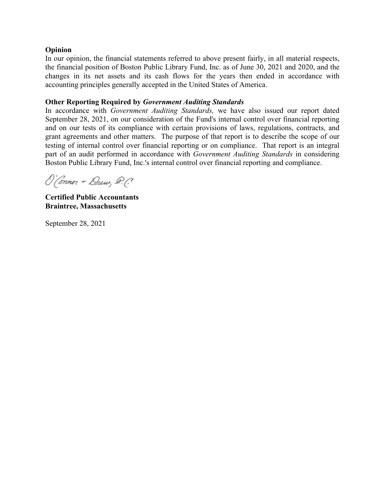#### **Opinion**

In our opinion, the financial statements referred to above present fairly, in all material respects, the financial position of Boston Public Library Fund, Inc. as of June 30, 2021 and 2020, and the changes in its net assets and its cash flows for the years then ended in accordance with accounting principles generally accepted in the United States of America.

### **Other Reporting Required by** *Government Auditing Standards*

In accordance with *Government Auditing Standards,* we have also issued our report dated September 28, 2021, on our consideration of the Fund's internal control over financial reporting and on our tests of its compliance with certain provisions of laws, regulations, contracts, and grant agreements and other matters. The purpose of that report is to describe the scope of our testing of internal control over financial reporting or on compliance. That report is an integral part of an audit performed in accordance with *Government Auditing Standards* in considering Boston Public Library Fund, Inc.'s internal control over financial reporting and compliance.

O'Connor + Druw, D.C.

**Certified Public Accountants Braintree, Massachusetts** 

September 28, 2021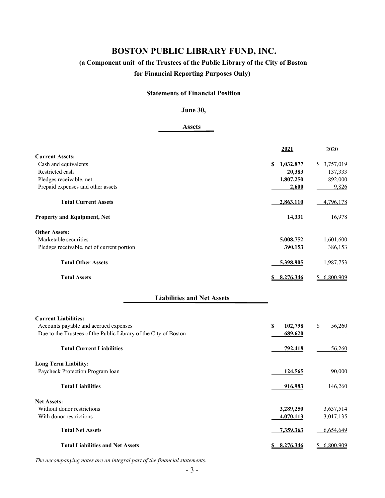# **(a Component unit of the Trustees of the Public Library of the City of Boston for Financial Reporting Purposes Only)**

#### **Statements of Financial Position**

#### **June 30,**

#### **Assets**

|                                                                 | 2021           | 2020         |
|-----------------------------------------------------------------|----------------|--------------|
| <b>Current Assets:</b>                                          |                |              |
| Cash and equivalents                                            | S<br>1,032,877 | \$3,757,019  |
| Restricted cash                                                 | 20,383         | 137,333      |
| Pledges receivable, net                                         | 1,807,250      | 892,000      |
| Prepaid expenses and other assets                               | 2,600          | 9,826        |
| <b>Total Current Assets</b>                                     | 2,863,110      | 4,796,178    |
| Property and Equipment, Net                                     | 14,331         | 16,978       |
| <b>Other Assets:</b>                                            |                |              |
| Marketable securities                                           | 5,008,752      | 1,601,600    |
| Pledges receivable, net of current portion                      | 390,153        | 386,153      |
| <b>Total Other Assets</b>                                       | 5,398,905      | 1,987,753    |
| <b>Total Assets</b>                                             | \$8,276,346    | \$6,800,909  |
| <b>Liabilities and Net Assets</b>                               |                |              |
| <b>Current Liabilities:</b>                                     |                |              |
| Accounts payable and accrued expenses                           | 102,798<br>\$  | \$<br>56,260 |
| Due to the Trustees of the Public Library of the City of Boston | 689,620        |              |
| <b>Total Current Liabilities</b>                                | 792,418        | 56,260       |
| <b>Long Term Liability:</b>                                     |                |              |
| Paycheck Protection Program loan                                | 124,565        | 90,000       |
| <b>Total Liabilities</b>                                        | 916,983        | 146,260      |
| <b>Net Assets:</b>                                              |                |              |
| Without donor restrictions                                      | 3,289,250      | 3,637,514    |
| With donor restrictions                                         | 4,070,113      | 3,017,135    |
| <b>Total Net Assets</b>                                         | 7,359,363      | 6,654,649    |
| <b>Total Liabilities and Net Assets</b>                         | \$ 8,276,346   | \$6,800,909  |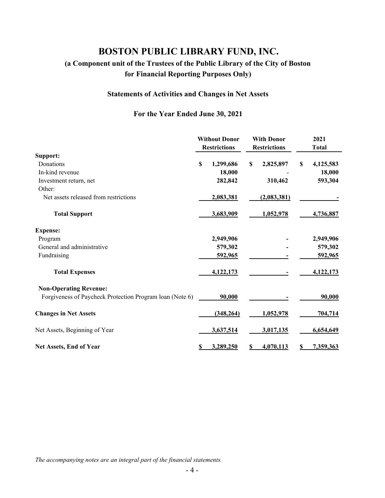# **(a Component unit of the Trustees of the Public Library of the City of Boston for Financial Reporting Purposes Only)**

# **Statements of Activities and Changes in Net Assets**

### **For the Year Ended June 30, 2021**

|                                                          |             | <b>Without Donor</b><br><b>Restrictions</b> |    | <b>With Donor</b><br><b>Restrictions</b> |   | 2021<br><b>Total</b> |
|----------------------------------------------------------|-------------|---------------------------------------------|----|------------------------------------------|---|----------------------|
| Support:                                                 |             |                                             |    |                                          |   |                      |
| Donations                                                | $\mathbf S$ | 1,299,686                                   | S  | 2,825,897                                | S | 4,125,583            |
| In-kind revenue                                          |             | 18,000                                      |    |                                          |   | 18,000               |
| Investment return, net                                   |             | 282,842                                     |    | 310,462                                  |   | 593,304              |
| Other:                                                   |             |                                             |    |                                          |   |                      |
| Net assets released from restrictions                    |             | 2,083,381                                   |    | (2,083,381)                              |   |                      |
| <b>Total Support</b>                                     |             | 3,683,909                                   |    | 1,052,978                                |   | 4,736,887            |
| <b>Expense:</b>                                          |             |                                             |    |                                          |   |                      |
| Program                                                  |             | 2,949,906                                   |    |                                          |   | 2,949,906            |
| General and administrative                               |             | 579,302                                     |    |                                          |   | 579,302              |
| Fundraising                                              |             | 592,965                                     |    |                                          |   | 592,965              |
| <b>Total Expenses</b>                                    |             | 4,122,173                                   |    |                                          |   | 4,122,173            |
| <b>Non-Operating Revenue:</b>                            |             |                                             |    |                                          |   |                      |
| Forgiveness of Paycheck Protection Program loan (Note 6) |             | 90,000                                      |    |                                          |   | 90,000               |
| <b>Changes in Net Assets</b>                             |             | (348, 264)                                  |    | 1,052,978                                |   | 704,714              |
| Net Assets, Beginning of Year                            |             | 3,637,514                                   |    | 3,017,135                                |   | 6,654,649            |
| Net Assets, End of Year                                  | S           | 3,289,250                                   | \$ | 4,070,113                                |   | 7,359,363            |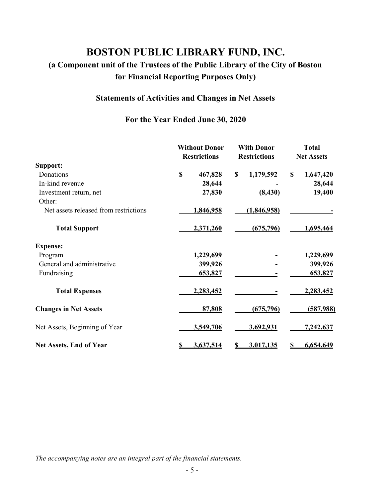# **(a Component unit of the Trustees of the Public Library of the City of Boston for Financial Reporting Purposes Only)**

# **Statements of Activities and Changes in Net Assets**

# **For the Year Ended June 30, 2020**

|                                       | <b>Without Donor</b><br><b>Restrictions</b> | <b>With Donor</b><br><b>Restrictions</b> | <b>Total</b><br><b>Net Assets</b> |
|---------------------------------------|---------------------------------------------|------------------------------------------|-----------------------------------|
| Support:                              |                                             |                                          |                                   |
| Donations                             | \$<br>467,828                               | \$<br>1,179,592                          | \$<br>1,647,420                   |
| In-kind revenue                       | 28,644                                      |                                          | 28,644                            |
| Investment return, net                | 27,830                                      | (8, 430)                                 | 19,400                            |
| Other:                                |                                             |                                          |                                   |
| Net assets released from restrictions | 1,846,958                                   | (1,846,958)                              |                                   |
| <b>Total Support</b>                  | 2,371,260                                   | (675, 796)                               | 1,695,464                         |
| <b>Expense:</b>                       |                                             |                                          |                                   |
| Program                               | 1,229,699                                   |                                          | 1,229,699                         |
| General and administrative            | 399,926                                     |                                          | 399,926                           |
| Fundraising                           | 653,827                                     |                                          | 653,827                           |
| <b>Total Expenses</b>                 | 2,283,452                                   |                                          | 2,283,452                         |
| <b>Changes in Net Assets</b>          | 87,808                                      | (675, 796)                               | (587,988)                         |
| Net Assets, Beginning of Year         | 3,549,706                                   | 3,692,931                                | <u>7,242,637</u>                  |
| <b>Net Assets, End of Year</b>        | 3,637,514                                   | 3,017,135                                | 6,654,649                         |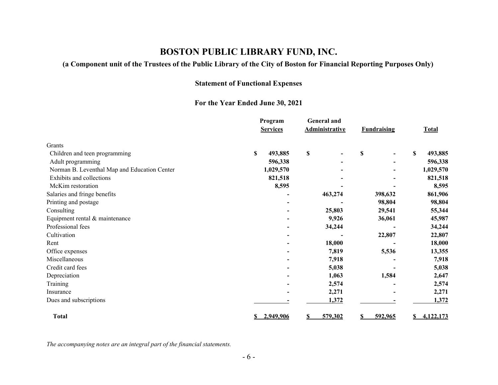### **(a Component unit of the Trustees of the Public Library of the City of Boston for Financial Reporting Purposes Only)**

### **Statement of Functional Expenses**

### **For the Year Ended June 30, 2021**

|                                              |               | Program<br><b>Services</b> | <b>General and</b><br><b>Administrative</b> | <b>Fundraising</b>             | <b>Total</b>  |
|----------------------------------------------|---------------|----------------------------|---------------------------------------------|--------------------------------|---------------|
| Grants                                       |               |                            |                                             |                                |               |
| Children and teen programming                | <sup>\$</sup> | 493,885                    | $\mathbb S$                                 | \$<br>$\overline{\phantom{0}}$ | \$<br>493,885 |
| Adult programming                            |               | 596,338                    |                                             |                                | 596,338       |
| Norman B. Leventhal Map and Education Center |               | 1,029,570                  |                                             |                                | 1,029,570     |
| Exhibits and collections                     |               | 821,518                    |                                             |                                | 821,518       |
| McKim restoration                            |               | 8,595                      |                                             |                                | 8,595         |
| Salaries and fringe benefits                 |               |                            | 463,274                                     | 398,632                        | 861,906       |
| Printing and postage                         |               |                            |                                             | 98,804                         | 98,804        |
| Consulting                                   |               |                            | 25,803                                      | 29,541                         | 55,344        |
| Equipment rental & maintenance               |               |                            | 9,926                                       | 36,061                         | 45,987        |
| Professional fees                            |               |                            | 34,244                                      |                                | 34,244        |
| Cultivation                                  |               |                            |                                             | 22,807                         | 22,807        |
| Rent                                         |               |                            | 18,000                                      |                                | 18,000        |
| Office expenses                              |               |                            | 7,819                                       | 5,536                          | 13,355        |
| Miscellaneous                                |               |                            | 7,918                                       |                                | 7,918         |
| Credit card fees                             |               |                            | 5,038                                       |                                | 5,038         |
| Depreciation                                 |               |                            | 1,063                                       | 1,584                          | 2,647         |
| Training                                     |               |                            | 2,574                                       |                                | 2,574         |
| Insurance                                    |               |                            | 2,271                                       |                                | 2,271         |
| Dues and subscriptions                       |               |                            | 1,372                                       |                                | 1,372         |
| <b>Total</b>                                 |               | 2,949,906                  | 579,302<br>\$                               | 592,965                        | 4,122,173     |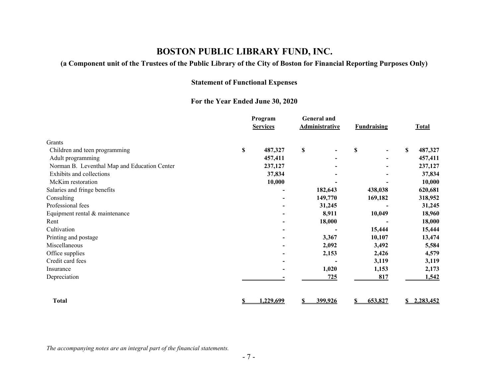### **(a Component unit of the Trustees of the Public Library of the City of Boston for Financial Reporting Purposes Only)**

### **Statement of Functional Expenses**

### **For the Year Ended June 30, 2020**

|                                              | Program<br><b>Services</b> | <b>General and</b><br><b>Administrative</b> | <b>Fundraising</b>                 | <b>Total</b> |
|----------------------------------------------|----------------------------|---------------------------------------------|------------------------------------|--------------|
| Grants                                       |                            |                                             |                                    |              |
| Children and teen programming                | \$<br>487,327              | \$                                          | \$<br>$\qquad \qquad \blacksquare$ | S<br>487,327 |
| Adult programming                            | 457,411                    |                                             |                                    | 457,411      |
| Norman B. Leventhal Map and Education Center | 237,127                    |                                             |                                    | 237,127      |
| Exhibits and collections                     | 37,834                     |                                             |                                    | 37,834       |
| McKim restoration                            | 10,000                     |                                             |                                    | 10,000       |
| Salaries and fringe benefits                 |                            | 182,643                                     | 438,038                            | 620,681      |
| Consulting                                   | $\overline{\phantom{0}}$   | 149,770                                     | 169,182                            | 318,952      |
| Professional fees                            | -                          | 31,245                                      |                                    | 31,245       |
| Equipment rental & maintenance               | $\overline{\phantom{0}}$   | 8,911                                       | 10,049                             | 18,960       |
| Rent                                         |                            | 18,000                                      |                                    | 18,000       |
| Cultivation                                  |                            |                                             | 15,444                             | 15,444       |
| Printing and postage                         |                            | 3,367                                       | 10,107                             | 13,474       |
| Miscellaneous                                |                            | 2,092                                       | 3,492                              | 5,584        |
| Office supplies                              |                            | 2,153                                       | 2,426                              | 4,579        |
| Credit card fees                             |                            |                                             | 3,119                              | 3,119        |
| Insurance                                    |                            | 1,020                                       | 1,153                              | 2,173        |
| Depreciation                                 |                            | 725                                         | 817                                | 1,542        |
| Total                                        | 1,229,699                  | 399,926<br>S                                | 653,827                            | 2,283,452    |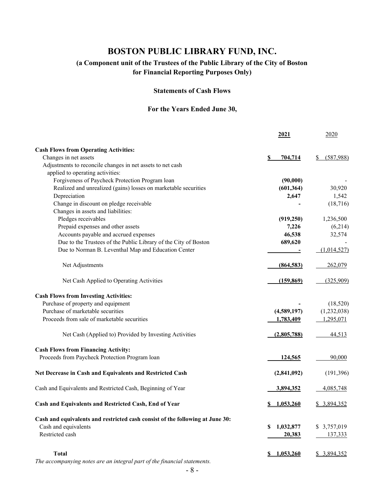### **(a Component unit of the Trustees of the Public Library of the City of Boston for Financial Reporting Purposes Only)**

#### **Statements of Cash Flows**

### **For the Years Ended June 30,**

|                                                                               | 2021               | 2020             |
|-------------------------------------------------------------------------------|--------------------|------------------|
| <b>Cash Flows from Operating Activities:</b>                                  |                    |                  |
| Changes in net assets                                                         | 704,714<br>S       | (587,988)<br>S   |
| Adjustments to reconcile changes in net assets to net cash                    |                    |                  |
| applied to operating activities:                                              |                    |                  |
| Forgiveness of Paycheck Protection Program loan                               | (90,000)           |                  |
| Realized and unrealized (gains) losses on marketable securities               | (601, 364)         | 30,920           |
| Depreciation                                                                  | 2,647              | 1,542            |
| Change in discount on pledge receivable                                       |                    | (18, 716)        |
| Changes in assets and liabilities:                                            |                    |                  |
| Pledges receivables                                                           | (919, 250)         | 1,236,500        |
| Prepaid expenses and other assets                                             | 7,226              | (6,214)          |
| Accounts payable and accrued expenses                                         | 46,538             | 32,574           |
| Due to the Trustees of the Public Library of the City of Boston               | 689,620            |                  |
| Due to Norman B. Leventhal Map and Education Center                           |                    | (1,014,527)      |
|                                                                               |                    |                  |
| Net Adjustments                                                               | (864, 583)         | 262,079          |
| Net Cash Applied to Operating Activities                                      | (159, 869)         | (325,909)        |
| <b>Cash Flows from Investing Activities:</b>                                  |                    |                  |
| Purchase of property and equipment                                            |                    | (18,520)         |
| Purchase of marketable securities                                             | (4,589,197)        | (1,232,038)      |
| Proceeds from sale of marketable securities                                   | 1,783,409          | 1,295,071        |
| Net Cash (Applied to) Provided by Investing Activities                        | (2,805,788)        | 44,513           |
| <b>Cash Flows from Financing Activity:</b>                                    |                    |                  |
| Proceeds from Paycheck Protection Program loan                                | 124,565            | 90,000           |
| Net Decrease in Cash and Equivalents and Restricted Cash                      | (2,841,092)        | (191,396)        |
| Cash and Equivalents and Restricted Cash, Beginning of Year                   | 3,894,352          | <u>4,085,748</u> |
| Cash and Equivalents and Restricted Cash, End of Year                         | \$1,053,260        | \$3,894,352      |
| Cash and equivalents and restricted cash consist of the following at June 30: |                    |                  |
| Cash and equivalents                                                          | 1,032,877<br>\$    | \$ 3,757,019     |
| Restricted cash                                                               | 20,383             | 137,333          |
| Total                                                                         | <u>\$1,053,260</u> | \$3,894,352      |
|                                                                               |                    |                  |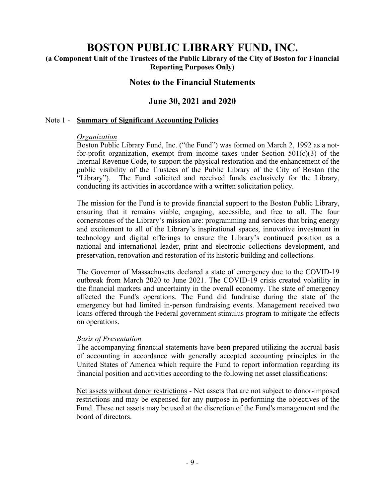# **(a Component Unit of the Trustees of the Public Library of the City of Boston for Financial Reporting Purposes Only)**

# **Notes to the Financial Statements**

# **June 30, 2021 and 2020**

#### Note 1 - **Summary of Significant Accounting Policies**

#### *Organization*

Boston Public Library Fund, Inc. ("the Fund") was formed on March 2, 1992 as a notfor-profit organization, exempt from income taxes under Section  $501(c)(3)$  of the Internal Revenue Code, to support the physical restoration and the enhancement of the public visibility of the Trustees of the Public Library of the City of Boston (the "Library"). The Fund solicited and received funds exclusively for the Library, conducting its activities in accordance with a written solicitation policy.

The mission for the Fund is to provide financial support to the Boston Public Library, ensuring that it remains viable, engaging, accessible, and free to all. The four cornerstones of the Library's mission are: programming and services that bring energy and excitement to all of the Library's inspirational spaces, innovative investment in technology and digital offerings to ensure the Library's continued position as a national and international leader, print and electronic collections development, and preservation, renovation and restoration of its historic building and collections.

The Governor of Massachusetts declared a state of emergency due to the COVID-19 outbreak from March 2020 to June 2021. The COVID-19 crisis created volatility in the financial markets and uncertainty in the overall economy. The state of emergency affected the Fund's operations. The Fund did fundraise during the state of the emergency but had limited in-person fundraising events. Management received two loans offered through the Federal government stimulus program to mitigate the effects on operations.

#### *Basis of Presentation*

The accompanying financial statements have been prepared utilizing the accrual basis of accounting in accordance with generally accepted accounting principles in the United States of America which require the Fund to report information regarding its financial position and activities according to the following net asset classifications:

Net assets without donor restrictions - Net assets that are not subject to donor-imposed restrictions and may be expensed for any purpose in performing the objectives of the Fund. These net assets may be used at the discretion of the Fund's management and the board of directors.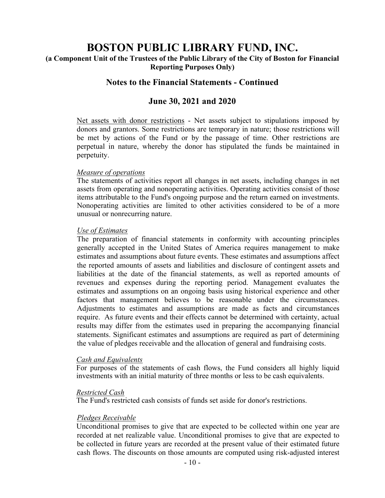### **(a Component Unit of the Trustees of the Public Library of the City of Boston for Financial Reporting Purposes Only)**

### **Notes to the Financial Statements - Continued**

### **June 30, 2021 and 2020**

Net assets with donor restrictions - Net assets subject to stipulations imposed by donors and grantors. Some restrictions are temporary in nature; those restrictions will be met by actions of the Fund or by the passage of time. Other restrictions are perpetual in nature, whereby the donor has stipulated the funds be maintained in perpetuity.

#### *Measure of operations*

The statements of activities report all changes in net assets, including changes in net assets from operating and nonoperating activities. Operating activities consist of those items attributable to the Fund's ongoing purpose and the return earned on investments. Nonoperating activities are limited to other activities considered to be of a more unusual or nonrecurring nature.

#### *Use of Estimates*

The preparation of financial statements in conformity with accounting principles generally accepted in the United States of America requires management to make estimates and assumptions about future events. These estimates and assumptions affect the reported amounts of assets and liabilities and disclosure of contingent assets and liabilities at the date of the financial statements, as well as reported amounts of revenues and expenses during the reporting period. Management evaluates the estimates and assumptions on an ongoing basis using historical experience and other factors that management believes to be reasonable under the circumstances. Adjustments to estimates and assumptions are made as facts and circumstances require. As future events and their effects cannot be determined with certainty, actual results may differ from the estimates used in preparing the accompanying financial statements. Significant estimates and assumptions are required as part of determining the value of pledges receivable and the allocation of general and fundraising costs.

#### *Cash and Equivalents*

For purposes of the statements of cash flows, the Fund considers all highly liquid investments with an initial maturity of three months or less to be cash equivalents.

#### *Restricted Cash*

The Fund's restricted cash consists of funds set aside for donor's restrictions.

#### *Pledges Receivable*

 Unconditional promises to give that are expected to be collected within one year are recorded at net realizable value. Unconditional promises to give that are expected to be collected in future years are recorded at the present value of their estimated future cash flows. The discounts on those amounts are computed using risk-adjusted interest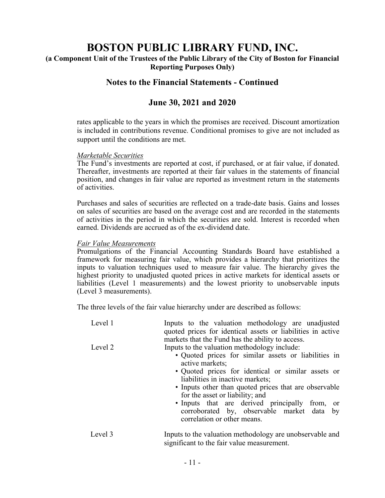**(a Component Unit of the Trustees of the Public Library of the City of Boston for Financial Reporting Purposes Only)** 

# **Notes to the Financial Statements - Continued**

# **June 30, 2021 and 2020**

rates applicable to the years in which the promises are received. Discount amortization is included in contributions revenue. Conditional promises to give are not included as support until the conditions are met.

#### *Marketable Securities*

The Fund's investments are reported at cost, if purchased, or at fair value, if donated. Thereafter, investments are reported at their fair values in the statements of financial position, and changes in fair value are reported as investment return in the statements of activities.

Purchases and sales of securities are reflected on a trade-date basis. Gains and losses on sales of securities are based on the average cost and are recorded in the statements of activities in the period in which the securities are sold. Interest is recorded when earned. Dividends are accrued as of the ex-dividend date.

#### *Fair Value Measurements*

Promulgations of the Financial Accounting Standards Board have established a framework for measuring fair value, which provides a hierarchy that prioritizes the inputs to valuation techniques used to measure fair value. The hierarchy gives the highest priority to unadjusted quoted prices in active markets for identical assets or liabilities (Level 1 measurements) and the lowest priority to unobservable inputs (Level 3 measurements).

The three levels of the fair value hierarchy under are described as follows:

| Level 1 | Inputs to the valuation methodology are unadjusted<br>quoted prices for identical assets or liabilities in active<br>markets that the Fund has the ability to access.                                                                                                                                                                                                                                                                        |
|---------|----------------------------------------------------------------------------------------------------------------------------------------------------------------------------------------------------------------------------------------------------------------------------------------------------------------------------------------------------------------------------------------------------------------------------------------------|
| Level 2 | Inputs to the valuation methodology include:<br>• Quoted prices for similar assets or liabilities in<br>active markets;<br>• Quoted prices for identical or similar assets or<br>liabilities in inactive markets;<br>• Inputs other than quoted prices that are observable<br>for the asset or liability; and<br>· Inputs that are derived principally from, or<br>corroborated by, observable market data by<br>correlation or other means. |
| Level 3 | Inputs to the valuation methodology are unobservable and<br>significant to the fair value measurement.                                                                                                                                                                                                                                                                                                                                       |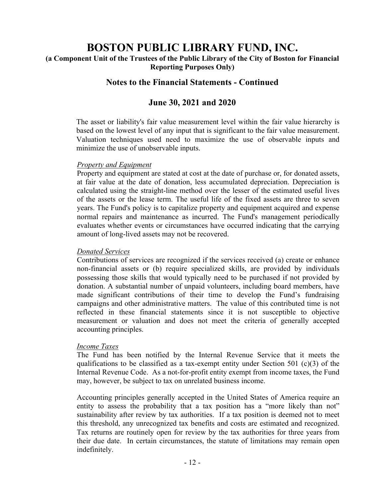**(a Component Unit of the Trustees of the Public Library of the City of Boston for Financial Reporting Purposes Only)** 

# **Notes to the Financial Statements - Continued**

# **June 30, 2021 and 2020**

The asset or liability's fair value measurement level within the fair value hierarchy is based on the lowest level of any input that is significant to the fair value measurement. Valuation techniques used need to maximize the use of observable inputs and minimize the use of unobservable inputs.

#### *Property and Equipment*

Property and equipment are stated at cost at the date of purchase or, for donated assets, at fair value at the date of donation, less accumulated depreciation. Depreciation is calculated using the straight-line method over the lesser of the estimated useful lives of the assets or the lease term. The useful life of the fixed assets are three to seven years. The Fund's policy is to capitalize property and equipment acquired and expense normal repairs and maintenance as incurred. The Fund's management periodically evaluates whether events or circumstances have occurred indicating that the carrying amount of long-lived assets may not be recovered.

#### *Donated Services*

Contributions of services are recognized if the services received (a) create or enhance non-financial assets or (b) require specialized skills, are provided by individuals possessing those skills that would typically need to be purchased if not provided by donation. A substantial number of unpaid volunteers, including board members, have made significant contributions of their time to develop the Fund's fundraising campaigns and other administrative matters. The value of this contributed time is not reflected in these financial statements since it is not susceptible to objective measurement or valuation and does not meet the criteria of generally accepted accounting principles.

#### *Income Taxes*

The Fund has been notified by the Internal Revenue Service that it meets the qualifications to be classified as a tax-exempt entity under Section 501 (c)(3) of the Internal Revenue Code. As a not-for-profit entity exempt from income taxes, the Fund may, however, be subject to tax on unrelated business income.

Accounting principles generally accepted in the United States of America require an entity to assess the probability that a tax position has a "more likely than not" sustainability after review by tax authorities. If a tax position is deemed not to meet this threshold, any unrecognized tax benefits and costs are estimated and recognized. Tax returns are routinely open for review by the tax authorities for three years from their due date. In certain circumstances, the statute of limitations may remain open indefinitely.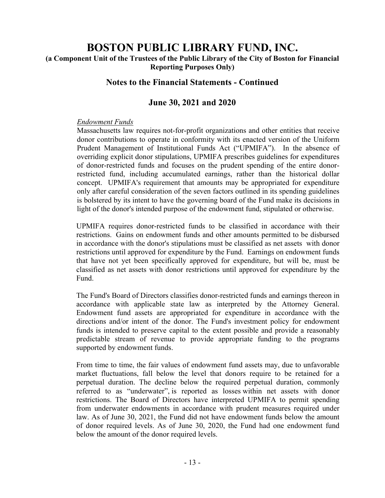**(a Component Unit of the Trustees of the Public Library of the City of Boston for Financial Reporting Purposes Only)** 

# **Notes to the Financial Statements - Continued**

# **June 30, 2021 and 2020**

### *Endowment Funds*

Massachusetts law requires not-for-profit organizations and other entities that receive donor contributions to operate in conformity with its enacted version of the Uniform Prudent Management of Institutional Funds Act ("UPMIFA"). In the absence of overriding explicit donor stipulations, UPMIFA prescribes guidelines for expenditures of donor-restricted funds and focuses on the prudent spending of the entire donorrestricted fund, including accumulated earnings, rather than the historical dollar concept. UPMIFA's requirement that amounts may be appropriated for expenditure only after careful consideration of the seven factors outlined in its spending guidelines is bolstered by its intent to have the governing board of the Fund make its decisions in light of the donor's intended purpose of the endowment fund, stipulated or otherwise.

UPMIFA requires donor-restricted funds to be classified in accordance with their restrictions. Gains on endowment funds and other amounts permitted to be disbursed in accordance with the donor's stipulations must be classified as net assets with donor restrictions until approved for expenditure by the Fund. Earnings on endowment funds that have not yet been specifically approved for expenditure, but will be, must be classified as net assets with donor restrictions until approved for expenditure by the Fund.

The Fund's Board of Directors classifies donor-restricted funds and earnings thereon in accordance with applicable state law as interpreted by the Attorney General. Endowment fund assets are appropriated for expenditure in accordance with the directions and/or intent of the donor. The Fund's investment policy for endowment funds is intended to preserve capital to the extent possible and provide a reasonably predictable stream of revenue to provide appropriate funding to the programs supported by endowment funds.

From time to time, the fair values of endowment fund assets may, due to unfavorable market fluctuations, fall below the level that donors require to be retained for a perpetual duration. The decline below the required perpetual duration, commonly referred to as "underwater", is reported as losses within net assets with donor restrictions. The Board of Directors have interpreted UPMIFA to permit spending from underwater endowments in accordance with prudent measures required under law. As of June 30, 2021, the Fund did not have endowment funds below the amount of donor required levels. As of June 30, 2020, the Fund had one endowment fund below the amount of the donor required levels.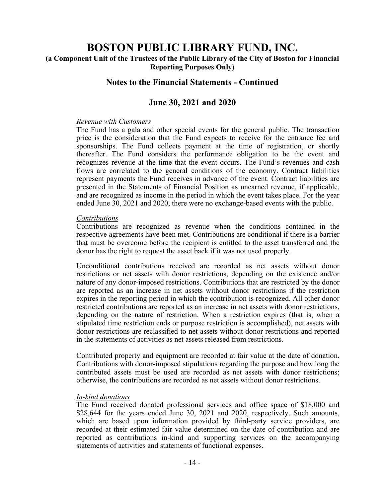# **(a Component Unit of the Trustees of the Public Library of the City of Boston for Financial Reporting Purposes Only)**

# **Notes to the Financial Statements - Continued**

# **June 30, 2021 and 2020**

#### *Revenue with Customers*

The Fund has a gala and other special events for the general public. The transaction price is the consideration that the Fund expects to receive for the entrance fee and sponsorships. The Fund collects payment at the time of registration, or shortly thereafter. The Fund considers the performance obligation to be the event and recognizes revenue at the time that the event occurs. The Fund's revenues and cash flows are correlated to the general conditions of the economy. Contract liabilities represent payments the Fund receives in advance of the event. Contract liabilities are presented in the Statements of Financial Position as unearned revenue, if applicable, and are recognized as income in the period in which the event takes place. For the year ended June 30, 2021 and 2020, there were no exchange-based events with the public.

#### *Contributions*

Contributions are recognized as revenue when the conditions contained in the respective agreements have been met. Contributions are conditional if there is a barrier that must be overcome before the recipient is entitled to the asset transferred and the donor has the right to request the asset back if it was not used properly.

Unconditional contributions received are recorded as net assets without donor restrictions or net assets with donor restrictions, depending on the existence and/or nature of any donor-imposed restrictions. Contributions that are restricted by the donor are reported as an increase in net assets without donor restrictions if the restriction expires in the reporting period in which the contribution is recognized. All other donor restricted contributions are reported as an increase in net assets with donor restrictions, depending on the nature of restriction. When a restriction expires (that is, when a stipulated time restriction ends or purpose restriction is accomplished), net assets with donor restrictions are reclassified to net assets without donor restrictions and reported in the statements of activities as net assets released from restrictions.

Contributed property and equipment are recorded at fair value at the date of donation. Contributions with donor-imposed stipulations regarding the purpose and how long the contributed assets must be used are recorded as net assets with donor restrictions; otherwise, the contributions are recorded as net assets without donor restrictions.

#### *In-kind donations*

The Fund received donated professional services and office space of \$18,000 and \$28,644 for the years ended June 30, 2021 and 2020, respectively. Such amounts, which are based upon information provided by third-party service providers, are recorded at their estimated fair value determined on the date of contribution and are reported as contributions in-kind and supporting services on the accompanying statements of activities and statements of functional expenses.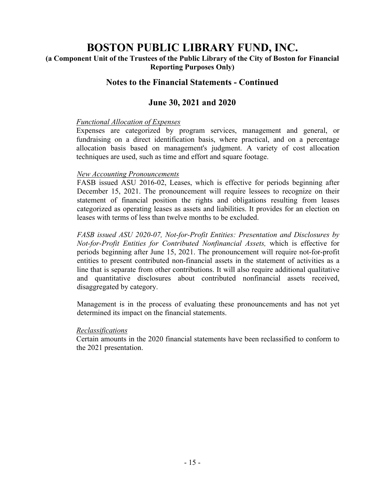**(a Component Unit of the Trustees of the Public Library of the City of Boston for Financial Reporting Purposes Only)** 

# **Notes to the Financial Statements - Continued**

# **June 30, 2021 and 2020**

### *Functional Allocation of Expenses*

Expenses are categorized by program services, management and general, or fundraising on a direct identification basis, where practical, and on a percentage allocation basis based on management's judgment. A variety of cost allocation techniques are used, such as time and effort and square footage.

### *New Accounting Pronouncements*

FASB issued ASU 2016-02, Leases, which is effective for periods beginning after December 15, 2021. The pronouncement will require lessees to recognize on their statement of financial position the rights and obligations resulting from leases categorized as operating leases as assets and liabilities. It provides for an election on leases with terms of less than twelve months to be excluded.

*FASB issued ASU 2020-07, Not-for-Profit Entities: Presentation and Disclosures by Not-for-Profit Entities for Contributed Nonfinancial Assets,* which is effective for periods beginning after June 15, 2021. The pronouncement will require not-for-profit entities to present contributed non-financial assets in the statement of activities as a line that is separate from other contributions. It will also require additional qualitative and quantitative disclosures about contributed nonfinancial assets received, disaggregated by category.

Management is in the process of evaluating these pronouncements and has not yet determined its impact on the financial statements.

#### *Reclassifications*

Certain amounts in the 2020 financial statements have been reclassified to conform to the 2021 presentation.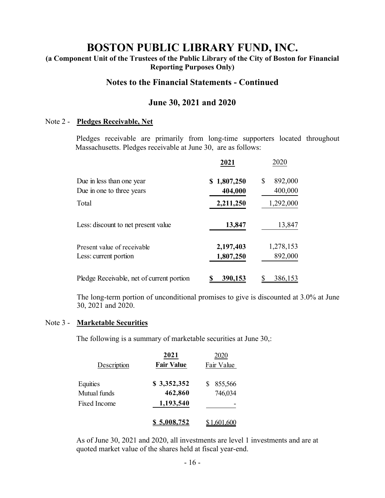# **(a Component Unit of the Trustees of the Public Library of the City of Boston for Financial Reporting Purposes Only)**

### **Notes to the Financial Statements - Continued**

# **June 30, 2021 and 2020**

#### Note 2 - **Pledges Receivable, Net**

Pledges receivable are primarily from long-time supporters located throughout Massachusetts. Pledges receivable at June 30, are as follows:

|                                           | 2021        | 2020          |
|-------------------------------------------|-------------|---------------|
| Due in less than one year                 | \$1,807,250 | 892,000<br>\$ |
| Due in one to three years                 | 404,000     | 400,000       |
| Total                                     | 2,211,250   | 1,292,000     |
| Less: discount to net present value       | 13,847      | 13,847        |
| Present value of receivable               | 2,197,403   | 1,278,153     |
| Less: current portion                     | 1,807,250   | 892,000       |
| Pledge Receivable, net of current portion | 390,153     | 386,153       |

The long-term portion of unconditional promises to give is discounted at 3.0% at June 30, 2021 and 2020.

#### Note 3 - **Marketable Securities**

The following is a summary of marketable securities at June 30,:

|              | 2021              | 2020       |
|--------------|-------------------|------------|
| Description  | <b>Fair Value</b> | Fair Value |
| Equities     | \$3,352,352       | 855,566    |
| Mutual funds | 462,860           | 746,034    |
| Fixed Income | 1,193,540         |            |
|              | \$5,008,752       | 1.601.600  |

As of June 30, 2021 and 2020, all investments are level 1 investments and are at quoted market value of the shares held at fiscal year-end.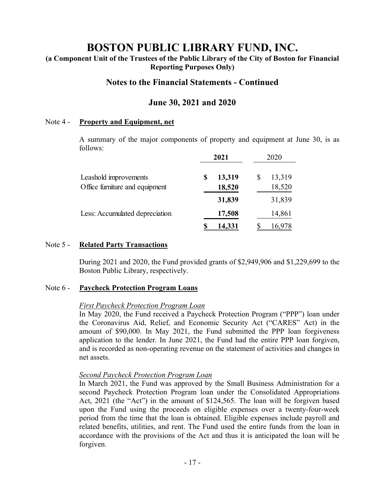# **(a Component Unit of the Trustees of the Public Library of the City of Boston for Financial Reporting Purposes Only)**

# **Notes to the Financial Statements - Continued**

# **June 30, 2021 and 2020**

#### Note 4 - **Property and Equipment, net**

A summary of the major components of property and equipment at June 30, is as follows:

|                                |   | 2021   | 2020         |
|--------------------------------|---|--------|--------------|
| Leashold improvements          | S | 13,319 | \$<br>13,319 |
| Office furniture and equipment |   | 18,520 | 18,520       |
|                                |   | 31,839 | 31,839       |
| Less: Accumulated depreciation |   | 17,508 | 14,861       |
|                                |   | 14,331 |              |

#### Note 5 - **Related Party Transactions**

During 2021 and 2020, the Fund provided grants of \$2,949,906 and \$1,229,699 to the Boston Public Library, respectively.

#### Note 6 - **Paycheck Protection Program Loans**

#### *First Paycheck Protection Program Loan*

In May 2020, the Fund received a Paycheck Protection Program ("PPP") loan under the Coronavirus Aid, Relief, and Economic Security Act ("CARES" Act) in the amount of \$90,000. In May 2021, the Fund submitted the PPP loan forgiveness application to the lender. In June 2021, the Fund had the entire PPP loan forgiven, and is recorded as non-operating revenue on the statement of activities and changes in net assets.

#### *Second Paycheck Protection Program Loan*

In March 2021, the Fund was approved by the Small Business Administration for a second Paycheck Protection Program loan under the Consolidated Appropriations Act, 2021 (the "Act") in the amount of \$124,565. The loan will be forgiven based upon the Fund using the proceeds on eligible expenses over a twenty-four-week period from the time that the loan is obtained. Eligible expenses include payroll and related benefits, utilities, and rent. The Fund used the entire funds from the loan in accordance with the provisions of the Act and thus it is anticipated the loan will be forgiven.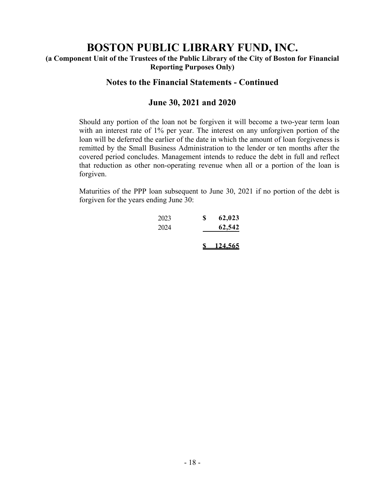**(a Component Unit of the Trustees of the Public Library of the City of Boston for Financial Reporting Purposes Only)** 

# **Notes to the Financial Statements - Continued**

### **June 30, 2021 and 2020**

Should any portion of the loan not be forgiven it will become a two-year term loan with an interest rate of 1% per year. The interest on any unforgiven portion of the loan will be deferred the earlier of the date in which the amount of loan forgiveness is remitted by the Small Business Administration to the lender or ten months after the covered period concludes. Management intends to reduce the debt in full and reflect that reduction as other non-operating revenue when all or a portion of the loan is forgiven.

Maturities of the PPP loan subsequent to June 30, 2021 if no portion of the debt is forgiven for the years ending June 30:

| 2023 | \$<br>62,023    |
|------|-----------------|
| 2024 | 62,542          |
|      |                 |
|      | <u> 124,565</u> |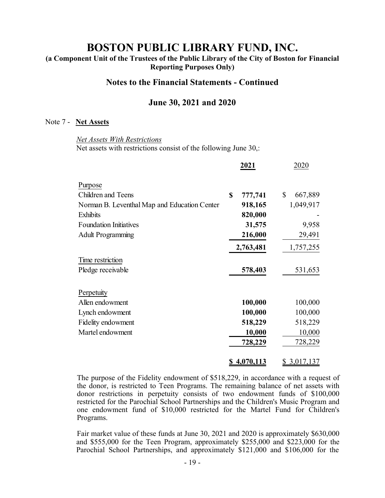**(a Component Unit of the Trustees of the Public Library of the City of Boston for Financial Reporting Purposes Only)** 

### **Notes to the Financial Statements - Continued**

### **June 30, 2021 and 2020**

#### Note 7 - **Net Assets**

*Net Assets With Restrictions*  Net assets with restrictions consist of the following June 30,:

|                                              | 2021                   | 2020          |
|----------------------------------------------|------------------------|---------------|
| Purpose                                      |                        |               |
| <b>Children and Teens</b>                    | $\mathbf S$<br>777,741 | \$<br>667,889 |
| Norman B. Leventhal Map and Education Center | 918,165                | 1,049,917     |
| <b>Exhibits</b>                              | 820,000                |               |
| <b>Foundation Initiatives</b>                | 31,575                 | 9,958         |
| <b>Adult Programming</b>                     | 216,000                | 29,491        |
|                                              | 2,763,481              | 1,757,255     |
| Time restriction                             |                        |               |
| Pledge receivable                            | 578,403                | 531,653       |
| Perpetuity                                   |                        |               |
| Allen endowment                              | 100,000                | 100,000       |
| Lynch endowment                              | 100,000                | 100,000       |
| Fidelity endowment                           | 518,229                | 518,229       |
| Martel endowment                             | 10,000                 | 10,000        |
|                                              | 728,229                | 728,229       |
|                                              | \$4,070,113            | \$3,017,137   |

The purpose of the Fidelity endowment of \$518,229, in accordance with a request of the donor, is restricted to Teen Programs. The remaining balance of net assets with donor restrictions in perpetuity consists of two endowment funds of \$100,000 restricted for the Parochial School Partnerships and the Children's Music Program and one endowment fund of \$10,000 restricted for the Martel Fund for Children's Programs.

 Fair market value of these funds at June 30, 2021 and 2020 is approximately \$630,000 and \$555,000 for the Teen Program, approximately \$255,000 and \$223,000 for the Parochial School Partnerships, and approximately \$121,000 and \$106,000 for the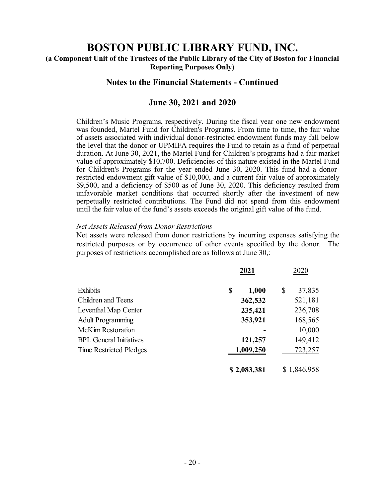# **(a Component Unit of the Trustees of the Public Library of the City of Boston for Financial Reporting Purposes Only)**

# **Notes to the Financial Statements - Continued**

### **June 30, 2021 and 2020**

Children's Music Programs, respectively. During the fiscal year one new endowment was founded, Martel Fund for Children's Programs. From time to time, the fair value of assets associated with individual donor-restricted endowment funds may fall below the level that the donor or UPMIFA requires the Fund to retain as a fund of perpetual duration. At June 30, 2021, the Martel Fund for Children's programs had a fair market value of approximately \$10,700. Deficiencies of this nature existed in the Martel Fund for Children's Programs for the year ended June 30, 2020. This fund had a donorrestricted endowment gift value of \$10,000, and a current fair value of approximately \$9,500, and a deficiency of \$500 as of June 30, 2020. This deficiency resulted from unfavorable market conditions that occurred shortly after the investment of new perpetually restricted contributions. The Fund did not spend from this endowment until the fair value of the fund's assets exceeds the original gift value of the fund.

#### *Net Assets Released from Donor Restrictions*

Net assets were released from donor restrictions by incurring expenses satisfying the restricted purposes or by occurrence of other events specified by the donor. The purposes of restrictions accomplished are as follows at June 30,:

|                                | 2021        | 2020         |
|--------------------------------|-------------|--------------|
| Exhibits                       | 1,000<br>\$ | \$<br>37,835 |
| <b>Children and Teens</b>      | 362,532     | 521,181      |
| Leventhal Map Center           | 235,421     | 236,708      |
| <b>Adult Programming</b>       | 353,921     | 168,565      |
| McKim Restoration              |             | 10,000       |
| <b>BPL General Initiatives</b> | 121,257     | 149,412      |
| Time Restricted Pledges        | 1,009,250   | 723,257      |
|                                | \$2,083,381 | 1,846,958    |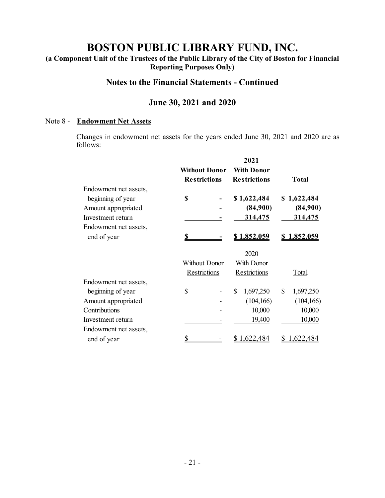**(a Component Unit of the Trustees of the Public Library of the City of Boston for Financial Reporting Purposes Only)** 

# **Notes to the Financial Statements - Continued**

# **June 30, 2021 and 2020**

#### Note 8 - **Endowment Net Assets**

Changes in endowment net assets for the years ended June 30, 2021 and 2020 are as follows:

|                      | 2021                 |                    |
|----------------------|----------------------|--------------------|
| <b>Without Donor</b> | <b>With Donor</b>    |                    |
| <b>Restrictions</b>  | <b>Restrictions</b>  | <b>Total</b>       |
|                      |                      |                    |
| \$                   | \$1,622,484          | \$1,622,484        |
|                      | (84,900)             | (84,900)           |
|                      | 314,475              | 314,475            |
|                      |                      |                    |
|                      | <u>\$1,852,059</u>   | <u>1,852,059</u>   |
|                      |                      |                    |
|                      |                      |                    |
| Restrictions         | Restrictions         | Total              |
|                      |                      |                    |
| \$                   | 1,697,250<br>\$      | \$<br>1,697,250    |
|                      | (104, 166)           | (104, 166)         |
|                      | 10,000               | 10,000             |
|                      | 19,400               | 10,000             |
|                      |                      |                    |
| \$                   | 1,622,484            | 1,622,484          |
|                      | <b>Without Donor</b> | 2020<br>With Donor |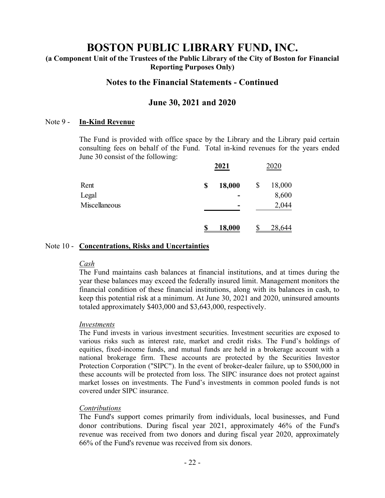**(a Component Unit of the Trustees of the Public Library of the City of Boston for Financial Reporting Purposes Only)** 

# **Notes to the Financial Statements - Continued**

### **June 30, 2021 and 2020**

#### Note 9 - **In-Kind Revenue**

The Fund is provided with office space by the Library and the Library paid certain consulting fees on behalf of the Fund. Total in-kind revenues for the years ended June 30 consist of the following:

|               |    | 2021          | 2020         |
|---------------|----|---------------|--------------|
| Rent          | \$ | 18,000        | \$<br>18,000 |
| Legal         |    |               | 8,600        |
| Miscellaneous |    |               | 2,044        |
|               | J  | <b>18,000</b> | 28,644       |

#### Note 10 - **Concentrations, Risks and Uncertainties**

#### *Cash*

The Fund maintains cash balances at financial institutions, and at times during the year these balances may exceed the federally insured limit. Management monitors the financial condition of these financial institutions, along with its balances in cash, to keep this potential risk at a minimum. At June 30, 2021 and 2020, uninsured amounts totaled approximately \$403,000 and \$3,643,000, respectively.

#### *Investments*

The Fund invests in various investment securities. Investment securities are exposed to various risks such as interest rate, market and credit risks. The Fund's holdings of equities, fixed-income funds, and mutual funds are held in a brokerage account with a national brokerage firm. These accounts are protected by the Securities Investor Protection Corporation ("SIPC"). In the event of broker-dealer failure, up to \$500,000 in these accounts will be protected from loss. The SIPC insurance does not protect against market losses on investments. The Fund's investments in common pooled funds is not covered under SIPC insurance.

#### *Contributions*

The Fund's support comes primarily from individuals, local businesses, and Fund donor contributions. During fiscal year 2021, approximately 46% of the Fund's revenue was received from two donors and during fiscal year 2020, approximately 66% of the Fund's revenue was received from six donors.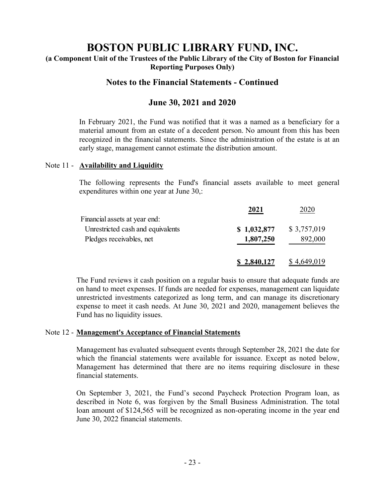**(a Component Unit of the Trustees of the Public Library of the City of Boston for Financial Reporting Purposes Only)** 

# **Notes to the Financial Statements - Continued**

# **June 30, 2021 and 2020**

In February 2021, the Fund was notified that it was a named as a beneficiary for a material amount from an estate of a decedent person. No amount from this has been recognized in the financial statements. Since the administration of the estate is at an early stage, management cannot estimate the distribution amount.

#### Note 11 - **Availability and Liquidity**

The following represents the Fund's financial assets available to meet general expenditures within one year at June 30,:

|                                   | 2021        | 2020        |
|-----------------------------------|-------------|-------------|
| Financial assets at year end:     |             |             |
| Unrestricted cash and equivalents | \$1,032,877 | \$3,757,019 |
| Pledges receivables, net          | 1,807,250   | 892,000     |
|                                   | \$2,840,127 | \$4,649,019 |

The Fund reviews it cash position on a regular basis to ensure that adequate funds are on hand to meet expenses. If funds are needed for expenses, management can liquidate unrestricted investments categorized as long term, and can manage its discretionary expense to meet it cash needs. At June 30, 2021 and 2020, management believes the Fund has no liquidity issues.

#### Note 12 - **Management's Acceptance of Financial Statements**

Management has evaluated subsequent events through September 28, 2021 the date for which the financial statements were available for issuance. Except as noted below, Management has determined that there are no items requiring disclosure in these financial statements.

On September 3, 2021, the Fund's second Paycheck Protection Program loan, as described in Note 6, was forgiven by the Small Business Administration. The total loan amount of \$124,565 will be recognized as non-operating income in the year end June 30, 2022 financial statements.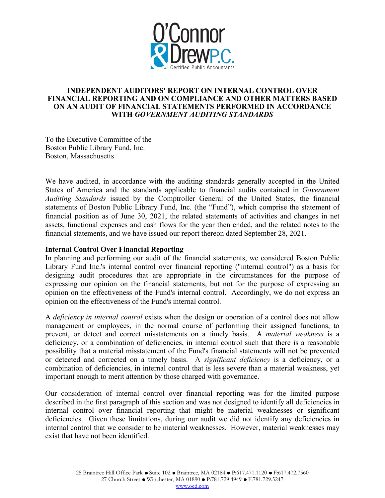

#### **INDEPENDENT AUDITORS' REPORT ON INTERNAL CONTROL OVER FINANCIAL REPORTING AND ON COMPLIANCE AND OTHER MATTERS BASED ON AN AUDIT OF FINANCIAL STATEMENTS PERFORMED IN ACCORDANCE WITH** *GOVERNMENT AUDITING STANDARDS*

To the Executive Committee of the Boston Public Library Fund, Inc. Boston, Massachusetts

We have audited, in accordance with the auditing standards generally accepted in the United States of America and the standards applicable to financial audits contained in *Government Auditing Standards* issued by the Comptroller General of the United States, the financial statements of Boston Public Library Fund, Inc. (the "Fund"), which comprise the statement of financial position as of June 30, 2021, the related statements of activities and changes in net assets, functional expenses and cash flows for the year then ended, and the related notes to the financial statements, and we have issued our report thereon dated September 28, 2021.

#### **Internal Control Over Financial Reporting**

In planning and performing our audit of the financial statements, we considered Boston Public Library Fund Inc.'s internal control over financial reporting ("internal control") as a basis for designing audit procedures that are appropriate in the circumstances for the purpose of expressing our opinion on the financial statements, but not for the purpose of expressing an opinion on the effectiveness of the Fund's internal control. Accordingly, we do not express an opinion on the effectiveness of the Fund's internal control.

A *deficiency in internal control* exists when the design or operation of a control does not allow management or employees, in the normal course of performing their assigned functions, to prevent, or detect and correct misstatements on a timely basis. A *material weakness* is a deficiency, or a combination of deficiencies, in internal control such that there is a reasonable possibility that a material misstatement of the Fund's financial statements will not be prevented or detected and corrected on a timely basis. A *significant deficiency* is a deficiency, or a combination of deficiencies, in internal control that is less severe than a material weakness, yet important enough to merit attention by those charged with governance.

Our consideration of internal control over financial reporting was for the limited purpose described in the first paragraph of this section and was not designed to identify all deficiencies in internal control over financial reporting that might be material weaknesses or significant deficiencies. Given these limitations, during our audit we did not identify any deficiencies in internal control that we consider to be material weaknesses. However, material weaknesses may exist that have not been identified.

www.ocd.com